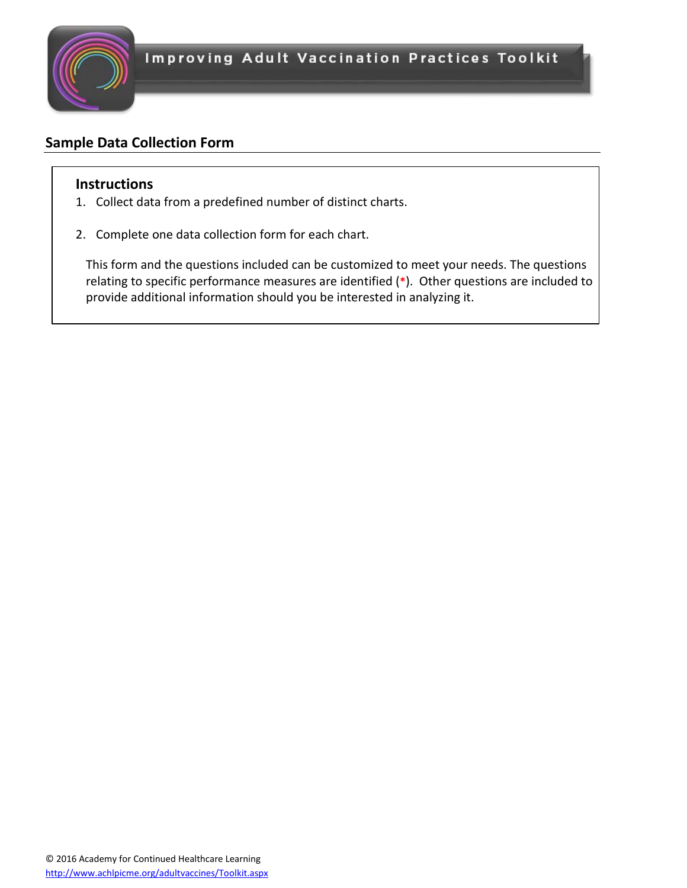

## **Sample Data Collection Form**

## **Instructions**

- 1. Collect data from a predefined number of distinct charts.
- 2. Complete one data collection form for each chart.

This form and the questions included can be customized to meet your needs. The questions relating to specific performance measures are identified (**\***). Other questions are included to provide additional information should you be interested in analyzing it.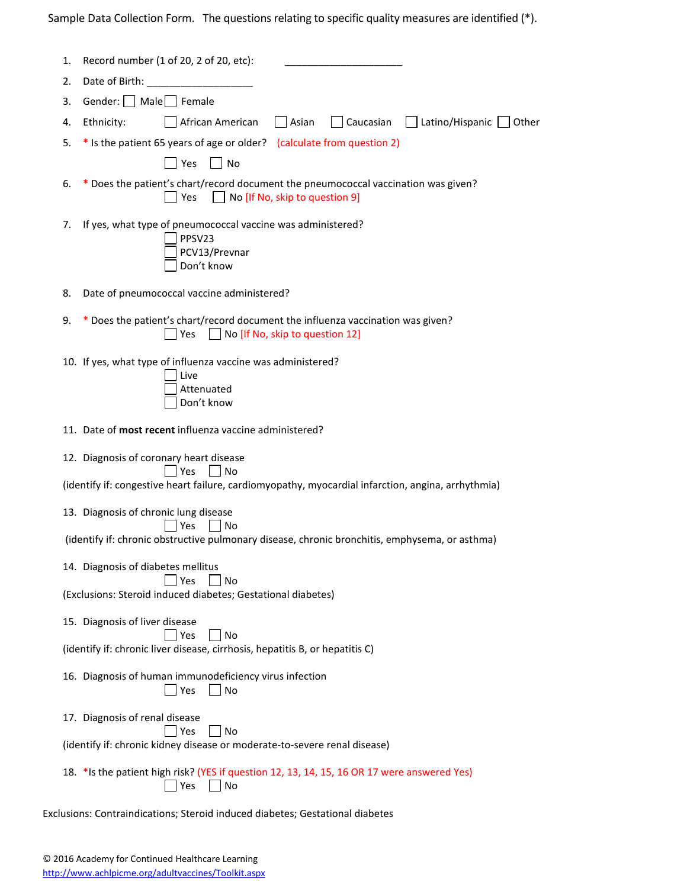Sample Data Collection Form. The questions relating to specific quality measures are identified (\*).

| 1. | Record number (1 of 20, 2 of 20, etc):                                                                                          |
|----|---------------------------------------------------------------------------------------------------------------------------------|
| 2. | Date of Birth:                                                                                                                  |
| 3. | Gender:   Male   Female                                                                                                         |
| 4. | Latino/Hispanic Other<br>African American<br>    Caucasian<br>Ethnicity:<br>  Asian                                             |
| 5. | * Is the patient 65 years of age or older? (calculate from question 2)                                                          |
|    | Yes<br>$\vert$   No                                                                                                             |
| 6. | Does the patient's chart/record document the pneumococcal vaccination was given?<br>×,<br>No [If No, skip to question 9]<br>Yes |
| 7. | If yes, what type of pneumococcal vaccine was administered?<br>PPSV23<br>PCV13/Prevnar<br>Don't know                            |
| 8. | Date of pneumococcal vaccine administered?                                                                                      |
| 9. | * Does the patient's chart/record document the influenza vaccination was given?<br>No [If No, skip to question 12]<br>Yes       |
|    | 10. If yes, what type of influenza vaccine was administered?<br>Live<br>Attenuated<br>Don't know                                |
|    | 11. Date of most recent influenza vaccine administered?                                                                         |
|    | 12. Diagnosis of coronary heart disease<br>Yes<br>  INo                                                                         |
|    | (identify if: congestive heart failure, cardiomyopathy, myocardial infarction, angina, arrhythmia)                              |
|    | 13. Diagnosis of chronic lung disease                                                                                           |
|    | Yes<br>No<br>(identify if: chronic obstructive pulmonary disease, chronic bronchitis, emphysema, or asthma)                     |
|    | 14. Diagnosis of diabetes mellitus                                                                                              |
|    | Yes<br>No<br>(Exclusions: Steroid induced diabetes; Gestational diabetes)                                                       |
|    | 15. Diagnosis of liver disease<br>Yes<br>No                                                                                     |
|    | (identify if: chronic liver disease, cirrhosis, hepatitis B, or hepatitis C)                                                    |
|    | 16. Diagnosis of human immunodeficiency virus infection<br>No<br>Yes                                                            |
|    | 17. Diagnosis of renal disease<br>No<br>Yes                                                                                     |
|    | (identify if: chronic kidney disease or moderate-to-severe renal disease)                                                       |
|    | 18. * Is the patient high risk? (YES if question 12, 13, 14, 15, 16 OR 17 were answered Yes)<br>Yes<br>No                       |
|    | Exclusions: Contraindications; Steroid induced diabetes; Gestational diabetes                                                   |